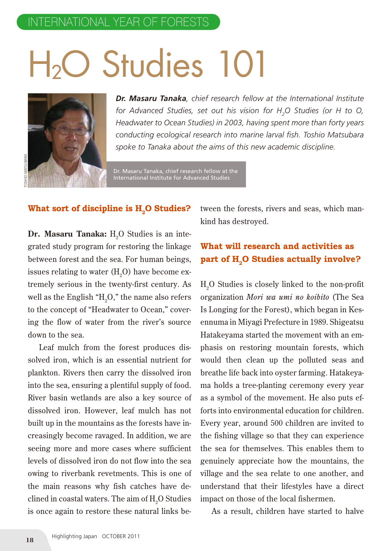# H<sub>2</sub>O Studies 101



*Dr. Masaru Tanaka, chief research fellow at the International Institute for Advanced Studies, set out his vision for H2 O Studies (or H to O, Headwater to Ocean Studies) in 2003, having spent more than forty years conducting ecological research into marine larval fish. Toshio Matsubara spoke to Tanaka about the aims of this new academic discipline.*

Dr. Masaru Tanaka, chief research fellow at the International Institute for Advanced Studies

#### What sort of discipline is H<sub>2</sub>O Studies?

**Dr. Masaru Tanaka:**  $\mathrm{H}_2\mathrm{O}$  Studies is an integrated study program for restoring the linkage between forest and the sea. For human beings, issues relating to water (H $_{\textrm{\tiny{2}}}$ O) have become extremely serious in the twenty-first century. As well as the English "H $_{\textrm{\tiny{2}}}$ O," the name also refers to the concept of "Headwater to Ocean," covering the flow of water from the river's source down to the sea.

Leaf mulch from the forest produces dissolved iron, which is an essential nutrient for plankton. Rivers then carry the dissolved iron into the sea, ensuring a plentiful supply of food. River basin wetlands are also a key source of dissolved iron. However, leaf mulch has not built up in the mountains as the forests have increasingly become ravaged. In addition, we are seeing more and more cases where sufficient levels of dissolved iron do not flow into the sea owing to riverbank revetments. This is one of the main reasons why fish catches have declined in coastal waters. The aim of  $\rm H_2O$  Studies is once again to restore these natural links be-**188 Exceptional Conducts 188 Exceptional Conducts** H<sub>2</sub>O Studented study program for restori between forest and the sea. For issues relating to water (H<sub>2</sub>O) has tremely serious in the twenty-fil well as the English "H<sub></sub>

tween the forests, rivers and seas, which mankind has destroyed.

#### **What will research and activities as**  part of H<sub>2</sub>O Studies actually involve?

 $H<sub>2</sub>O$  Studies is closely linked to the non-profit organization *Mori wa umi no koibito* (The Sea Is Longing for the Forest), which began in Kesennuma in Miyagi Prefecture in 1989. Shigeatsu Hatakeyama started the movement with an emphasis on restoring mountain forests, which would then clean up the polluted seas and breathe life back into oyster farming. Hatakeyama holds a tree-planting ceremony every year as a symbol of the movement. He also puts efforts into environmental education for children. Every year, around 500 children are invited to the fishing village so that they can experience the sea for themselves. This enables them to genuinely appreciate how the mountains, the village and the sea relate to one another, and understand that their lifestyles have a direct impact on those of the local fishermen.

As a result, children have started to halve